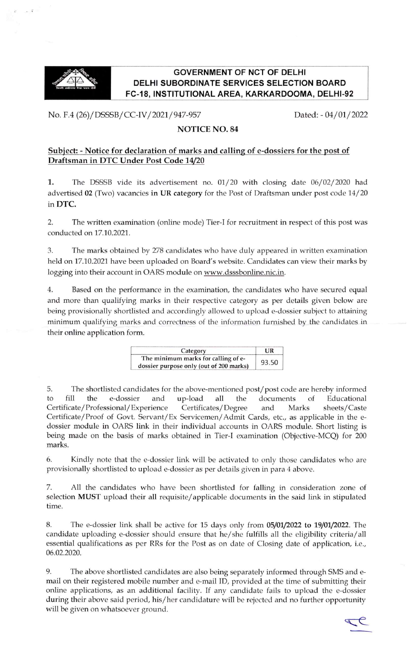

## **GOVERNMENT OF NCT OF DELHI DELHI SUBORDINATE SERVICES SELECTION BOARD** FC-18, INSTITUTIONAL AREA, KARKARDOOMA, DELHI-92

No. F.4 (26)/DSSSB/CC-IV/2021/947-957 Dated: -04/01/2022

## NOTICE NO. 84

## Subject: - Notice for declaration of marks and calling of e-dossiers for the post of Draftsman in DTC Under Post Code 1

1. The DSSSB vide its advertisement no. 01/20 with closing date 06/02/2020 had advertised 02 (Two) vacancies in UR category for the Post of Draftsman under post code 14/20 in DTC.

2. The written examination (online mode) Tier-I for recruitment in respect of this post was conducted on 17.10.2021.

3. The marks obtained by 278 candidates who have duly appeared in written examination held on 17.10.2021 have been uploaded on Board's website. Candidates can view their marks by logging into their account in OARS module on www.dsssbonline.nic.in.

4. Based on the performance in the examination, the candidates who have secured equal and more than qualifying marks in their respective category as per details given below are being provisionally shortlisted and accordingly allowed to upload e-dossier subject to attaining minimum qualifying marks and correctness of the information furnished by the candidates in their online application form.

| Category                                                                       | <b>TIR</b> |
|--------------------------------------------------------------------------------|------------|
| The minimum marks for calling of e-<br>dossier purpose only (out of 200 marks) | 93.50      |

5. The shortlisted candidates for the above-mentioned post/post code are hereby informed to fill the e-dossier and up-load all the documents of Educational Certificate/Professional/Experience Certificates/Degree and Marks sheets/Caste Certificate/Proof of Govt. Servant/Ex Servicemen/Admit Cards, etc., as applicable in the edossier module in OARS link in their individual accounts in OARS module. Short listing is being made on the basis of marks obtained in Tier-I examination (Objective-MCQ) for 200 marks.

6. Kindly note that the e-dossier link will be activated to only those candidates who are provisionally shortlisted to upload e-dossier as per details given in para 4 above.

7. All the candidates who have been shortlisted for falling in consideration zone of selection MUST upload their all requisite/applicable documents in the said link in stipulated time,

8. The e-dossier link shall be active for 15 days only from 05/01/2022 to 19/01/2022. The candidate uploading e-dossier should ensure that he/she fulfills all the eligibility criteria/all essential qualifications as per RRs for the Post as on date of Closing date of application, i.e., 06.02.2020.

9. The above shortlisted candidates are also being separately informed through SMS and email on their registered mobile number and e-mail ID, provided at the time of submitting their online applications, as an additional facility. If any candidate fails to upload the e-dossier during their above said period, his/her candidature will be rejected and no further opportunity will be given on whatsoever ground.